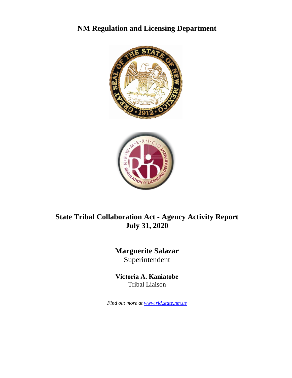# **NM Regulation and Licensing Department**





# **State Tribal Collaboration Act - Agency Activity Report July 31, 2020**

# **Marguerite Salazar** Superintendent

**Victoria A. Kaniatobe** Tribal Liaison

*Find out more at [www.rld.state.nm.us](http://www.rld.state.nm.us/)*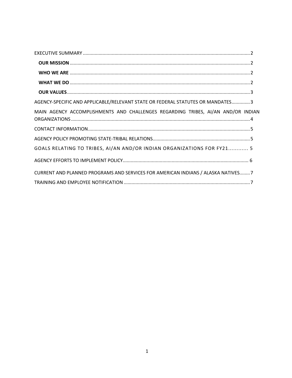<span id="page-1-0"></span>

| AGENCY-SPECIFIC AND APPLICABLE/RELEVANT STATE OR FEDERAL STATUTES OR MANDATES3   |
|----------------------------------------------------------------------------------|
| MAIN AGENCY ACCOMPLISHMENTS AND CHALLENGES REGARDING TRIBES, AI/AN AND/OR INDIAN |
|                                                                                  |
|                                                                                  |
| GOALS RELATING TO TRIBES, AI/AN AND/OR INDIAN ORGANIZATIONS FOR FY21 5           |
|                                                                                  |
| CURRENT AND PLANNED PROGRAMS AND SERVICES FOR AMERICAN INDIANS / ALASKA NATIVES7 |
|                                                                                  |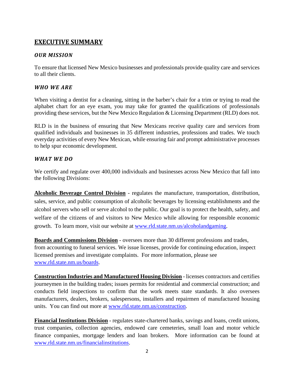## <span id="page-2-0"></span>**EXECUTIVE SUMMARY**

### *OUR MISSION*

To ensure that licensed New Mexico businesses and professionals provide quality care and services to all their clients.

### <span id="page-2-1"></span>*WHO WE ARE*

When visiting a dentist for a cleaning, sitting in the barber's chair for a trim or trying to read the alphabet chart for an eye exam, you may take for granted the qualifications of professionals providing these services, but the New Mexico Regulation & Licensing Department (RLD) does not.

RLD is in the business of ensuring that New Mexicans receive quality care and services from qualified individuals and businesses in 35 different industries, professions and trades. We touch everyday activities of every New Mexican, while ensuring fair and prompt administrative processes to help spur economic development.

### <span id="page-2-2"></span>*WHAT WE DO*

We certify and regulate over 400,000 individuals and businesses across New Mexico that fall into the following Divisions:

**Alcoholic Beverage Control Division** - regulates the manufacture, transportation, distribution, sales, service, and public consumption of alcoholic beverages by licensing establishments and the alcohol servers who sell or serve alcohol to the public. Our goal is to protect the health, safety, and welfare of the citizens of and visitors to New Mexico while allowing for responsible economic growth. To learn more, visit our website at [www.rld.state.nm.us/alcoholandgaming.](http://www.rld.state.nm.us/alcoholandgaming)

**[Boards and Commissions](http://www.rld.state.nm.us/OS/BoardsCommissions.html) Division** - oversees more than 30 different professions and trades, from accounting to funeral services. We issue licenses, provide for continuing education, inspect licensed premises and investigate complaints. For more information, please see [www.rld.state.nm.us/boards.](http://www.rld.state.nm.us/boards)

**[Construction Industries](http://www.rld.state.nm.us/CID/index.htm) and Manufactured Housing Division** - [licenses contractors](http://public.psiexams.com/index_login.jsp) and [certifies](http://public.psiexams.com/index_login.jsp)  [journeymen](http://public.psiexams.com/index_login.jsp) in the building trades; [issues permits](http://www.rld.state.nm.us/CID/permitting.htm) for residential and commercial construction; and [conducts field inspections](http://www.rld.state.nm.us/CID/inspection.htm) to confirm that the work meets state standards. It also oversees manufacturers, dealers, brokers, salespersons, installers and repairmen of manufactured housing units. You can find out more at [www.rld.state.nm.us/construction.](http://www.rld.state.nm.us/construction)

**[Financial Institutions](http://www.rld.state.nm.us/FID/index.html) Division** - regulates state-chartered banks, savings and loans, credit unions, trust companies, collection agencies, endowed care cemeteries, small loan and motor vehicle finance companies, mortgage lenders and loan brokers. More information can be found at [www.rld.state.nm.us/financialinstitutions.](http://www.rld.state.nm.us/financialinstitutions)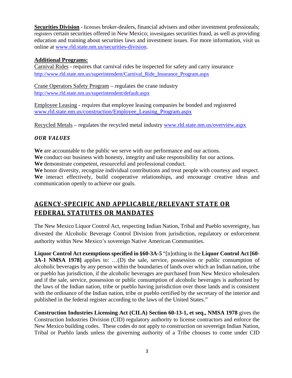**Securities Division** - [licenses](http://www.rld.state.nm.us/securities/feesandforms.html) broker-dealers, financial advisers and other investment professionals; [registers](http://www.rld.state.nm.us/securities/feesandforms.html) certain securities offered in New Mexico; [investigates](http://www.rld.state.nm.us/Securities/investigating.html) securities fraud, as well as providing education and training about securities laws and investment issues. For more information, visit us online at [www.rld.state.nm.us/securities-division.](http://www.rld.state.nm.us/securities-division)

### **Additional Programs:**

Carnival Rides - requires that carnival rides be inspected for safety and carry insurance [http://www.rld.state.nm.us/superintendent/Carnival\\_Ride\\_Insurance\\_Program.aspx](http://www.rld.state.nm.us/superintendent/Carnival_Ride_Insurance_Program.aspx)

Crane Operators Safety Program – regulates the crane industry <http://www.rld.state.nm.us/superintendent/default.aspx>

Employee Leasing - requires that employee leasing companies be bonded and registered [www.rld.state.nm.us/construction/Employee\\_Leasing\\_Program.aspx](http://www.rld.state.nm.us/construction/Employee_Leasing_Program.aspx)

Recycled Metals – regulates the recycled metal industry [www.rld.state.nm.us/overview.aspx](http://www.rld.state.nm.us/overview.aspx)

### <span id="page-3-0"></span>*OUR VALUES*

**We** are accountable to the public we serve with our performance and our actions.

**We** conduct our business with honesty, integrity and take responsibility for our actions.

**We** demonstrate competent, resourceful and professional conduct.

**We** honor diversity, recognize individual contributions and treat people with courtesy and respect. **We** interact effectively, build cooperative relationships, and encourage creative ideas and communication openly to achieve our goals.

## <span id="page-3-1"></span>**AGENCY-SPECIFIC AND APPLICABLE/RELEVANT STATE OR FEDERAL STATUTES OR MANDATES**

The New Mexico Liquor Control Act, respecting Indian Nation, Tribal and Pueblo sovereignty, has divested the Alcoholic Beverage Control Division from jurisdiction, regulatory or enforcement authority within New Mexico's sovereign Native American Communities.

**Liquor Control Act exemptions specified in §60-3A-5** "[n]othing in the **Liquor Control Act [60- 3A-1 NMSA 1978** applies to: ...(D) the sale, service, possession or public consumption of alcoholic beverages by any person within the boundaries of lands over which an Indian nation, tribe or pueblo has jurisdiction, if the alcoholic beverages are purchased from New Mexico wholesalers and if the sale, service, possession or public consumption of alcoholic beverages is authorized by the laws of the Indian nation, tribe or pueblo having jurisdiction over those lands and is consistent with the ordinance of the Indian nation, tribe or pueblo certified by the secretary of the interior and published in the federal register according to the laws of the United States."

**Construction Industries Licensing Act (CILA) Section 60-13-1, et seq., NMSA 1978** gives the Construction Industries Division (CID) regulatory authority to license contractors and enforce the New Mexico building codes. These codes do not apply to construction on sovereign Indian Nation, Tribal or Pueblo lands unless the governing authority of a Tribe chooses to come under CID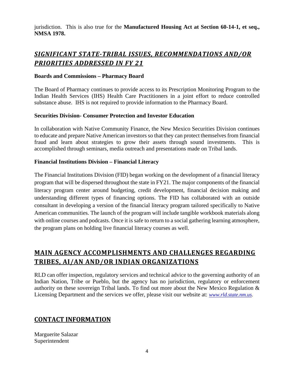jurisdiction. This is also true for the **Manufactured Housing Act at Section 60-14-1, et seq., NMSA 1978.** 

## *SIGNIFICANT STATE-TRIBAL ISSUES, RECOMMENDATIONS AND/OR PRIORITIES ADDRESSED IN FY 21*

#### **Boards and Commissions – Pharmacy Board**

The Board of Pharmacy continues to provide access to its Prescription Monitoring Program to the Indian Health Services (IHS) Health Care Practitioners in a joint effort to reduce controlled substance abuse. IHS is not required to provide information to the Pharmacy Board.

### <span id="page-4-0"></span>**Securities Division- Consumer Protection and Investor Education**

In collaboration with Native Community Finance, the New Mexico Securities Division continues to educate and prepare Native American investors so that they can protect themselves from financial fraud and learn about strategies to grow their assets through sound investments. This is accomplished through seminars, media outreach and presentations made on Tribal lands.

### **Financial Institutions Division – Financial Literacy**

The Financial Institutions Division (FID) began working on the development of a financial literacy program that will be dispersed throughout the state in FY21. The major components of the financial literacy program center around budgeting, credit development, financial decision making and understanding different types of financing options. The FID has collaborated with an outside consultant in developing a version of the financial literacy program tailored specifically to Native American communities. The launch of the program will include tangible workbook materials along with online courses and podcasts. Once it is safe to return to a social gathering learning atmosphere, the program plans on holding live financial literacy courses as well.

## **MAIN AGENCY ACCOMPLISHMENTS AND CHALLENGES REGARDING TRIBES, AI/AN AND/OR INDIAN ORGANIZATIONS**

<span id="page-4-1"></span>RLD can offer inspection, regulatory services and technical advice to the governing authority of an Indian Nation, Tribe or Pueblo, but the agency has no jurisdiction, regulatory or enforcement authority on these sovereign Tribal lands. To find out more about the New Mexico Regulation & Licensing Department and the services we offer, please visit our website at: *[www.rld.state.nm.us.](http://www.rld.state.nm.us/)*

## **CONTACT INFORMATION**

Marguerite Salazar Superintendent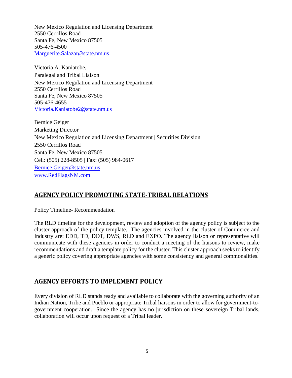New Mexico Regulation and Licensing Department 2550 Cerrillos Road Santa Fe, New Mexico 87505 505-476-4500 [Marguerite.Salazar@state.nm.us](mailto:Marguerite.Salazar@state.nm.us)

Victoria A. Kaniatobe, Paralegal and Tribal Liaison New Mexico Regulation and Licensing Department 2550 Cerrillos Road Santa Fe, New Mexico 87505 505-476-4655 [Victoria.Kaniatobe2@state.nm.us](mailto:Victoria.Kaniatobe2@state.nm.us)

Bernice Geiger Marketing Director New Mexico Regulation and Licensing Department | Securities Division 2550 Cerrillos Road Santa Fe, New Mexico 87505 Cell: (505) 228-8505 | Fax: (505) 984-0617 [Bernice.Geiger@state.nm.us](mailto:Bernice.Geiger@state.nm.us) [www.RedFlagsNM.com](http://www.redflagsnm.com/)

## **AGENCY POLICY PROMOTING STATE-TRIBAL RELATIONS**

Policy Timeline- Recommendation

The RLD timeline for the development, review and adoption of the agency policy is subject to the cluster approach of the policy template. The agencies involved in the cluster of Commerce and Industry are: EDD, TD, DOT, DWS, RLD and EXPO. The agency liaison or representative will communicate with these agencies in order to conduct a meeting of the liaisons to review, make recommendations and draft a template policy for the cluster. This cluster approach seeks to identify a generic policy covering appropriate agencies with some consistency and general commonalities.

## **AGENCY EFFORTS TO IMPLEMENT POLICY**

<span id="page-5-0"></span>Every division of RLD stands ready and available to collaborate with the governing authority of an Indian Nation, Tribe and Pueblo or appropriate Tribal liaisons in order to allow for government-togovernment cooperation. Since the agency has no jurisdiction on these sovereign Tribal lands, collaboration will occur upon request of a Tribal leader.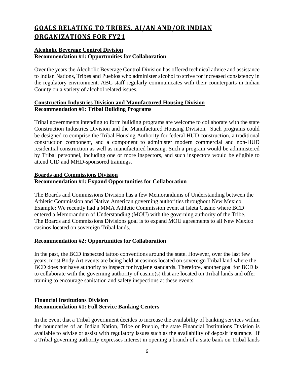# **GOALS RELATING TO TRIBES, AI/AN AND/OR INDIAN ORGANIZATIONS FOR FY21**

### **Alcoholic Beverage Control Division Recommendation #1: Opportunities for Collaboration**

Over the years the Alcoholic Beverage Control Division has offered technical advice and assistance to Indian Nations, Tribes and Pueblos who administer alcohol to strive for increased consistency in the regulatory environment. ABC staff regularly communicates with their counterparts in Indian County on a variety of alcohol related issues.

### **Construction Industries Division and Manufactured Housing Division Recommendation #1: Tribal Building Programs**

Tribal governments intending to form building programs are welcome to collaborate with the state Construction Industries Division and the Manufactured Housing Division. Such programs could be designed to comprise the Tribal Housing Authority for federal HUD construction, a traditional construction component, and a component to administer modern commercial and non-HUD residential construction as well as manufactured housing. Such a program would be administered by Tribal personnel, including one or more inspectors, and such inspectors would be eligible to attend CID and MHD-sponsored trainings.

### **Boards and Commissions Division Recommendation #1: Expand Opportunities for Collaboration**

The Boards and Commissions Division has a few Memorandums of Understanding between the Athletic Commission and Native American governing authorities throughout New Mexico. Example: We recently had a MMA Athletic Commission event at Isleta Casino where BCD entered a Memorandum of Understanding (MOU) with the governing authority of the Tribe. The Boards and Commissions Divisions goal is to expand MOU agreements to all New Mexico casinos located on sovereign Tribal lands.

### **Recommendation #2: Opportunities for Collaboration**

In the past, the BCD inspected tattoo conventions around the state. However, over the last few years, most Body Art events are being held at casinos located on sovereign Tribal land where the BCD does not have authority to inspect for hygiene standards. Therefore, another goal for BCD is to collaborate with the governing authority of casino(s) that are located on Tribal lands and offer training to encourage sanitation and safety inspections at these events.

### **Financial Institutions Division Recommendation #1: Full Service Banking Centers**

In the event that a Tribal government decides to increase the availability of banking services within the boundaries of an Indian Nation, Tribe or Pueblo, the state Financial Institutions Division is available to advise or assist with regulatory issues such as the availability of deposit insurance. If a Tribal governing authority expresses interest in opening a branch of a state bank on Tribal lands